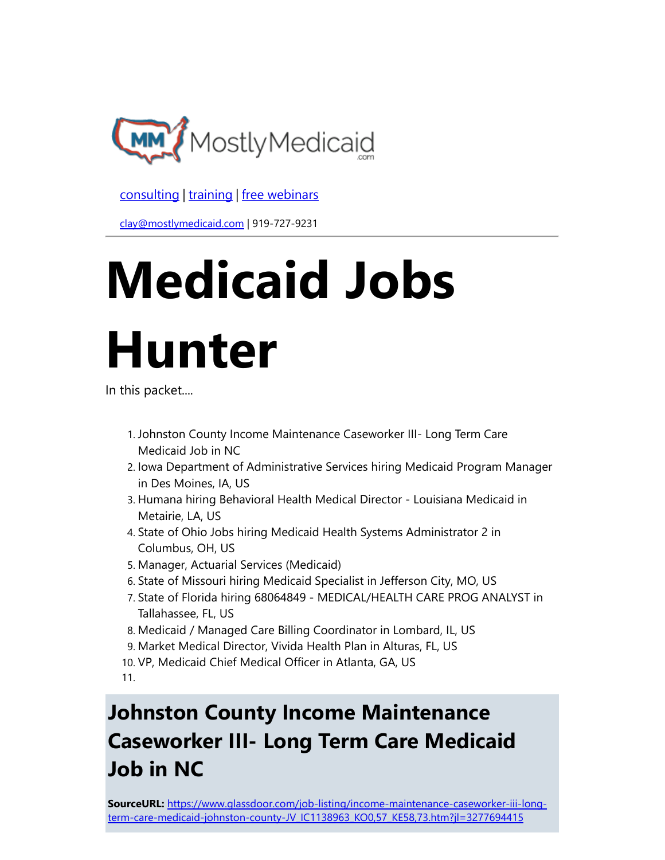

[consulting](http://bit.ly/2L815p0) | [training](http://bit.ly/2zL1l4r) | [free webinars](http://bit.ly/2ccl593) 

[clay@mostlymedicaid.com](mailto:clay%40mostlymedicaid.com) | 919-727-9231

# Medicaid Jobs Hunter

In this packet....

- 1. Johnston County Income Maintenance Caseworker III- Long Term Care Medicaid Job in NC
- 2. Iowa Department of Administrative Services hiring Medicaid Program Manager in Des Moines, IA, US
- 3. Humana hiring Behavioral Health Medical Director Louisiana Medicaid in Metairie, LA, US
- 4. State of Ohio Jobs hiring Medicaid Health Systems Administrator 2 in Columbus, OH, US
- 5. Manager, Actuarial Services (Medicaid)
- 6. State of Missouri hiring Medicaid Specialist in Jefferson City, MO, US
- 7. State of Florida hiring 68064849 MEDICAL/HEALTH CARE PROG ANALYST in Tallahassee, FL, US
- 8. Medicaid / Managed Care Billing Coordinator in Lombard, IL, US
- 9. Market Medical Director, Vivida Health Plan in Alturas, FL, US
- 10. VP, Medicaid Chief Medical Officer in Atlanta, GA, US

11.

# Johnston County Income Maintenance Caseworker III- Long Term Care Medicaid Job in NC

SourceURL: https://www.glassdoor.com/job-listing/income-maintenance-caseworker-iii-long[term-care-medicaid-johnston-county-JV\\_IC1138963\\_KO0,57\\_KE58,73.htm?jl=3277694415](https://www.glassdoor.com/job-listing/income-maintenance-caseworker-iii-long-term-care-medicaid-johnston-county-JV_IC1138963_KO0%2C57_KE58%2C73.htm%3Fjl%3D3277694415)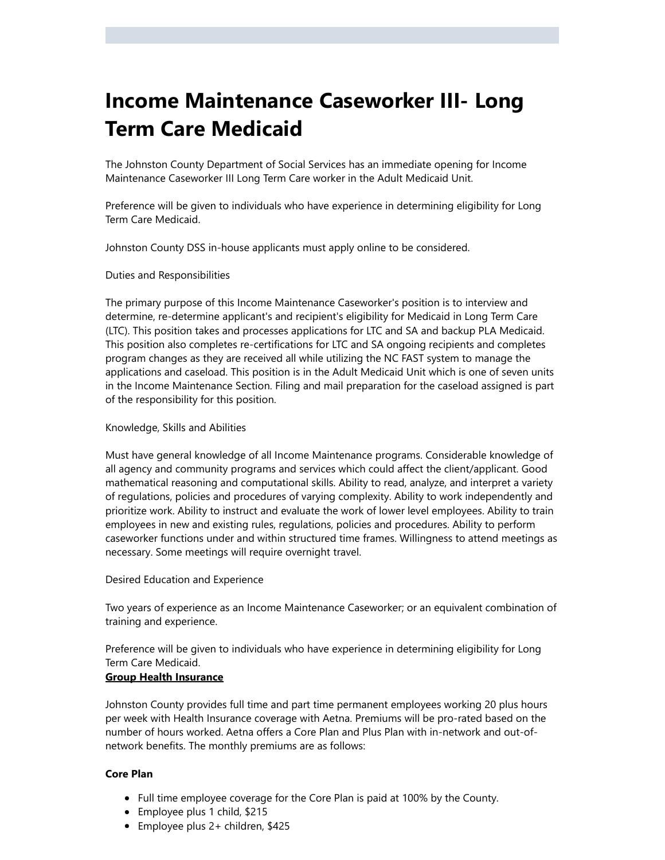### Income Maintenance Caseworker III- Long Term Care Medicaid

The Johnston County Department of Social Services has an immediate opening for Income Maintenance Caseworker III Long Term Care worker in the Adult Medicaid Unit.

Preference will be given to individuals who have experience in determining eligibility for Long Term Care Medicaid.

Johnston County DSS in-house applicants must apply online to be considered.

Duties and Responsibilities

The primary purpose of this Income Maintenance Caseworker's position is to interview and determine, re-determine applicant's and recipient's eligibility for Medicaid in Long Term Care (LTC). This position takes and processes applications for LTC and SA and backup PLA Medicaid. This position also completes re-certifications for LTC and SA ongoing recipients and completes program changes as they are received all while utilizing the NC FAST system to manage the applications and caseload. This position is in the Adult Medicaid Unit which is one of seven units in the Income Maintenance Section. Filing and mail preparation for the caseload assigned is part of the responsibility for this position.

#### Knowledge, Skills and Abilities

Must have general knowledge of all Income Maintenance programs. Considerable knowledge of all agency and community programs and services which could affect the client/applicant. Good mathematical reasoning and computational skills. Ability to read, analyze, and interpret a variety of regulations, policies and procedures of varying complexity. Ability to work independently and prioritize work. Ability to instruct and evaluate the work of lower level employees. Ability to train employees in new and existing rules, regulations, policies and procedures. Ability to perform caseworker functions under and within structured time frames. Willingness to attend meetings as necessary. Some meetings will require overnight travel.

Desired Education and Experience

Two years of experience as an Income Maintenance Caseworker; or an equivalent combination of training and experience.

Preference will be given to individuals who have experience in determining eligibility for Long Term Care Medicaid.

#### Group Health Insurance

Johnston County provides full time and part time permanent employees working 20 plus hours per week with Health Insurance coverage with Aetna. Premiums will be pro-rated based on the number of hours worked. Aetna offers a Core Plan and Plus Plan with in-network and out-ofnetwork benefits. The monthly premiums are as follows:

#### Core Plan

- Full time employee coverage for the Core Plan is paid at 100% by the County.
- Employee plus 1 child, \$215
- Employee plus 2+ children, \$425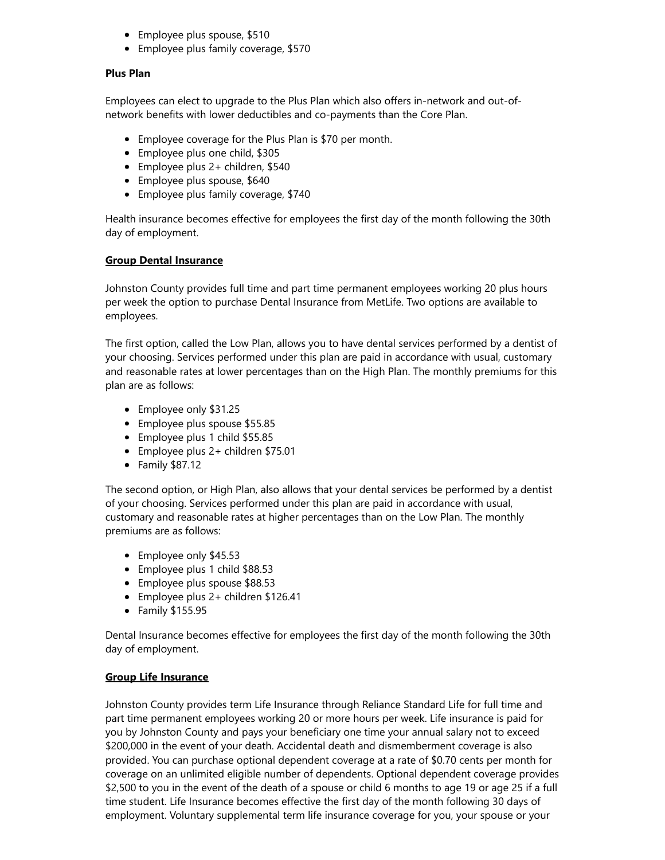- Employee plus spouse, \$510
- Employee plus family coverage, \$570

#### Plus Plan

Employees can elect to upgrade to the Plus Plan which also offers in-network and out-ofnetwork benefits with lower deductibles and co-payments than the Core Plan.

- Employee coverage for the Plus Plan is \$70 per month.
- Employee plus one child, \$305
- Employee plus 2+ children, \$540
- Employee plus spouse, \$640
- Employee plus family coverage, \$740

Health insurance becomes effective for employees the first day of the month following the 30th day of employment.

#### Group Dental Insurance

Johnston County provides full time and part time permanent employees working 20 plus hours per week the option to purchase Dental Insurance from MetLife. Two options are available to employees.

The first option, called the Low Plan, allows you to have dental services performed by a dentist of your choosing. Services performed under this plan are paid in accordance with usual, customary and reasonable rates at lower percentages than on the High Plan. The monthly premiums for this plan are as follows:

- Employee only \$31.25
- Employee plus spouse \$55.85
- Employee plus 1 child \$55.85
- Employee plus 2+ children \$75.01
- Family \$87.12

The second option, or High Plan, also allows that your dental services be performed by a dentist of your choosing. Services performed under this plan are paid in accordance with usual, customary and reasonable rates at higher percentages than on the Low Plan. The monthly premiums are as follows:

- Employee only \$45.53
- Employee plus 1 child \$88.53
- Employee plus spouse \$88.53
- Employee plus 2+ children \$126.41
- Family \$155.95

Dental Insurance becomes effective for employees the first day of the month following the 30th day of employment.

#### Group Life Insurance

Johnston County provides term Life Insurance through Reliance Standard Life for full time and part time permanent employees working 20 or more hours per week. Life insurance is paid for you by Johnston County and pays your beneficiary one time your annual salary not to exceed \$200,000 in the event of your death. Accidental death and dismemberment coverage is also provided. You can purchase optional dependent coverage at a rate of \$0.70 cents per month for coverage on an unlimited eligible number of dependents. Optional dependent coverage provides \$2,500 to you in the event of the death of a spouse or child 6 months to age 19 or age 25 if a full time student. Life Insurance becomes effective the first day of the month following 30 days of employment. Voluntary supplemental term life insurance coverage for you, your spouse or your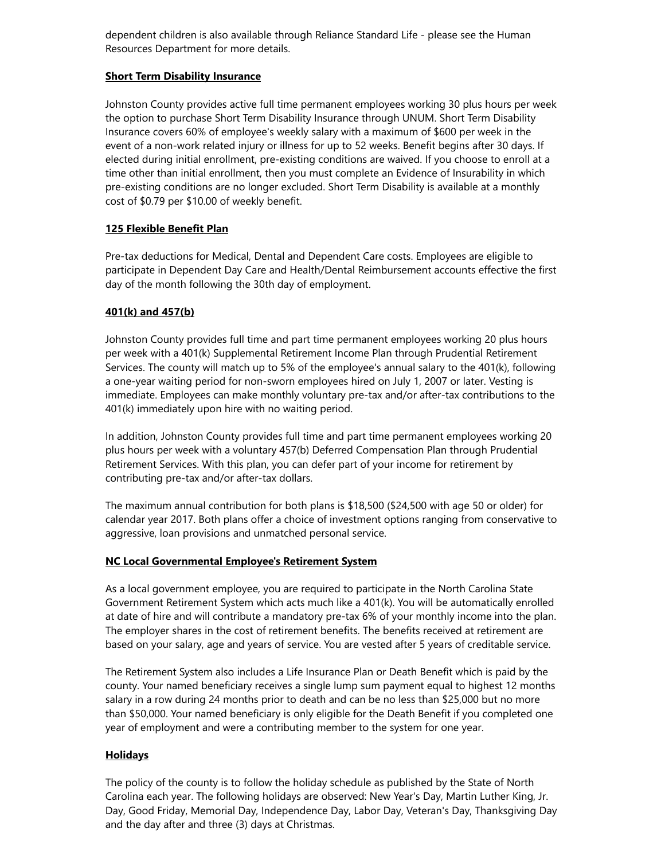dependent children is also available through Reliance Standard Life - please see the Human Resources Department for more details.

#### **Short Term Disability Insurance**

Johnston County provides active full time permanent employees working 30 plus hours per week the option to purchase Short Term Disability Insurance through UNUM. Short Term Disability Insurance covers 60% of employee's weekly salary with a maximum of \$600 per week in the event of a non-work related injury or illness for up to 52 weeks. Benefit begins after 30 days. If elected during initial enrollment, pre-existing conditions are waived. If you choose to enroll at a time other than initial enrollment, then you must complete an Evidence of Insurability in which pre-existing conditions are no longer excluded. Short Term Disability is available at a monthly cost of \$0.79 per \$10.00 of weekly benefit.

#### 125 Flexible Benefit Plan

Pre-tax deductions for Medical, Dental and Dependent Care costs. Employees are eligible to participate in Dependent Day Care and Health/Dental Reimbursement accounts effective the first day of the month following the 30th day of employment.

#### 401(k) and 457(b)

Johnston County provides full time and part time permanent employees working 20 plus hours per week with a 401(k) Supplemental Retirement Income Plan through Prudential Retirement Services. The county will match up to 5% of the employee's annual salary to the 401(k), following a one-year waiting period for non-sworn employees hired on July 1, 2007 or later. Vesting is immediate. Employees can make monthly voluntary pre-tax and/or after-tax contributions to the 401(k) immediately upon hire with no waiting period.

In addition, Johnston County provides full time and part time permanent employees working 20 plus hours per week with a voluntary 457(b) Deferred Compensation Plan through Prudential Retirement Services. With this plan, you can defer part of your income for retirement by contributing pre-tax and/or after-tax dollars.

The maximum annual contribution for both plans is \$18,500 (\$24,500 with age 50 or older) for calendar year 2017. Both plans offer a choice of investment options ranging from conservative to aggressive, loan provisions and unmatched personal service.

#### NC Local Governmental Employee's Retirement System

As a local government employee, you are required to participate in the North Carolina State Government Retirement System which acts much like a 401(k). You will be automatically enrolled at date of hire and will contribute a mandatory pre-tax 6% of your monthly income into the plan. The employer shares in the cost of retirement benefits. The benefits received at retirement are based on your salary, age and years of service. You are vested after 5 years of creditable service.

The Retirement System also includes a Life Insurance Plan or Death Benefit which is paid by the county. Your named beneficiary receives a single lump sum payment equal to highest 12 months salary in a row during 24 months prior to death and can be no less than \$25,000 but no more than \$50,000. Your named beneficiary is only eligible for the Death Benefit if you completed one year of employment and were a contributing member to the system for one year.

#### Holidays

The policy of the county is to follow the holiday schedule as published by the State of North Carolina each year. The following holidays are observed: New Year's Day, Martin Luther King, Jr. Day, Good Friday, Memorial Day, Independence Day, Labor Day, Veteran's Day, Thanksgiving Day and the day after and three (3) days at Christmas.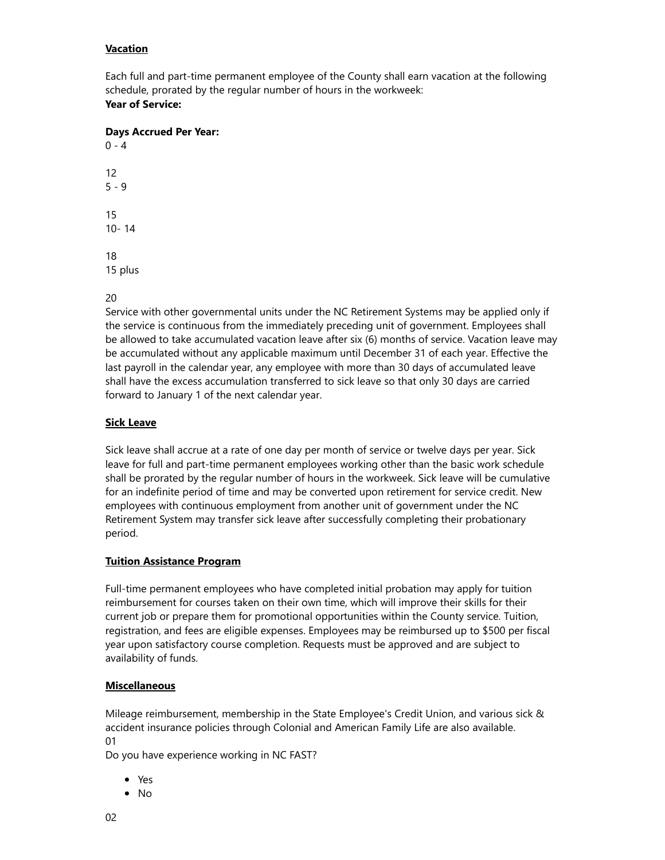#### **Vacation**

Each full and part-time permanent employee of the County shall earn vacation at the following schedule, prorated by the regular number of hours in the workweek: Year of Service:

Days Accrued Per Year:

#### 20

Service with other governmental units under the NC Retirement Systems may be applied only if the service is continuous from the immediately preceding unit of government. Employees shall be allowed to take accumulated vacation leave after six (6) months of service. Vacation leave may be accumulated without any applicable maximum until December 31 of each year. Effective the last payroll in the calendar year, any employee with more than 30 days of accumulated leave shall have the excess accumulation transferred to sick leave so that only 30 days are carried forward to January 1 of the next calendar year.

#### **Sick Leave**

Sick leave shall accrue at a rate of one day per month of service or twelve days per year. Sick leave for full and part-time permanent employees working other than the basic work schedule shall be prorated by the regular number of hours in the workweek. Sick leave will be cumulative for an indefinite period of time and may be converted upon retirement for service credit. New employees with continuous employment from another unit of government under the NC Retirement System may transfer sick leave after successfully completing their probationary period.

#### Tuition Assistance Program

Full-time permanent employees who have completed initial probation may apply for tuition reimbursement for courses taken on their own time, which will improve their skills for their current job or prepare them for promotional opportunities within the County service. Tuition, registration, and fees are eligible expenses. Employees may be reimbursed up to \$500 per fiscal year upon satisfactory course completion. Requests must be approved and are subject to availability of funds.

#### **Miscellaneous**

Mileage reimbursement, membership in the State Employee's Credit Union, and various sick & accident insurance policies through Colonial and American Family Life are also available. 01

Do you have experience working in NC FAST?

- Yes
- No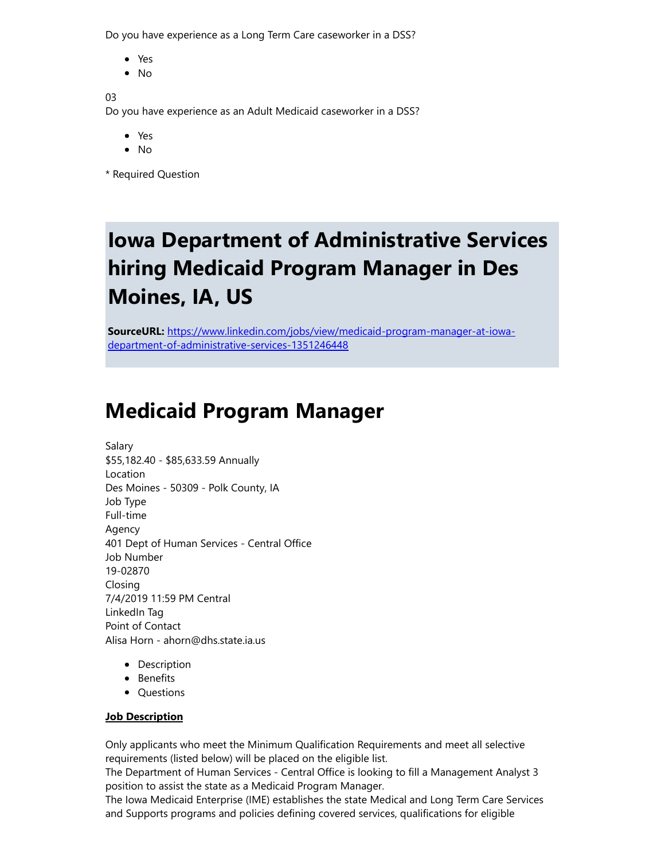Do you have experience as a Long Term Care caseworker in a DSS?

- Yes
- $\bullet$  No

03

Do you have experience as an Adult Medicaid caseworker in a DSS?

- Yes
- $\bullet$  No
- \* Required Question

# Iowa Department of Administrative Services hiring Medicaid Program Manager in Des Moines, IA, US

SourceURL: [https://www.linkedin.com/jobs/view/medicaid-program-manager-at-iowa](https://www.linkedin.com/jobs/view/medicaid-program-manager-at-iowa-department-of-administrative-services-1351246448)department-of-administrative-services-1351246448

### Medicaid Program Manager

Salary \$55,182.40 - \$85,633.59 Annually Location Des Moines - 50309 - Polk County, IA Job Type Full-time Agency 401 Dept of Human Services - Central Office Job Number 19-02870 Closing 7/4/2019 11:59 PM Central LinkedIn Tag Point of Contact Alisa Horn - ahorn@dhs.state.ia.us

- Description
- Benefits
- Questions

#### **Job Description**

Only applicants who meet the Minimum Qualification Requirements and meet all selective requirements (listed below) will be placed on the eligible list.

The Department of Human Services - Central Office is looking to fill a Management Analyst 3 position to assist the state as a Medicaid Program Manager.

The Iowa Medicaid Enterprise (IME) establishes the state Medical and Long Term Care Services and Supports programs and policies defining covered services, qualifications for eligible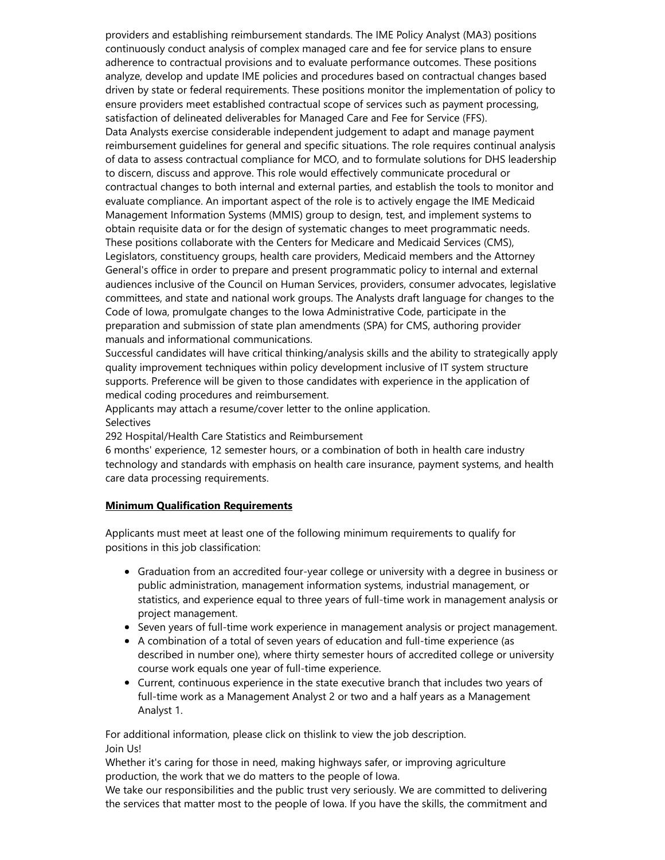providers and establishing reimbursement standards. The IME Policy Analyst (MA3) positions continuously conduct analysis of complex managed care and fee for service plans to ensure adherence to contractual provisions and to evaluate performance outcomes. These positions analyze, develop and update IME policies and procedures based on contractual changes based driven by state or federal requirements. These positions monitor the implementation of policy to ensure providers meet established contractual scope of services such as payment processing, satisfaction of delineated deliverables for Managed Care and Fee for Service (FFS). Data Analysts exercise considerable independent judgement to adapt and manage payment reimbursement guidelines for general and specific situations. The role requires continual analysis of data to assess contractual compliance for MCO, and to formulate solutions for DHS leadership to discern, discuss and approve. This role would effectively communicate procedural or contractual changes to both internal and external parties, and establish the tools to monitor and evaluate compliance. An important aspect of the role is to actively engage the IME Medicaid Management Information Systems (MMIS) group to design, test, and implement systems to obtain requisite data or for the design of systematic changes to meet programmatic needs. These positions collaborate with the Centers for Medicare and Medicaid Services (CMS), Legislators, constituency groups, health care providers, Medicaid members and the Attorney General's office in order to prepare and present programmatic policy to internal and external audiences inclusive of the Council on Human Services, providers, consumer advocates, legislative committees, and state and national work groups. The Analysts draft language for changes to the Code of Iowa, promulgate changes to the Iowa Administrative Code, participate in the preparation and submission of state plan amendments (SPA) for CMS, authoring provider manuals and informational communications.

Successful candidates will have critical thinking/analysis skills and the ability to strategically apply quality improvement techniques within policy development inclusive of IT system structure supports. Preference will be given to those candidates with experience in the application of medical coding procedures and reimbursement.

Applicants may attach a resume/cover letter to the online application. **Selectives** 

292 Hospital/Health Care Statistics and Reimbursement

6 months' experience, 12 semester hours, or a combination of both in health care industry technology and standards with emphasis on health care insurance, payment systems, and health care data processing requirements.

#### Minimum Qualification Requirements

Applicants must meet at least one of the following minimum requirements to qualify for positions in this job classification:

- Graduation from an accredited four-year college or university with a degree in business or public administration, management information systems, industrial management, or statistics, and experience equal to three years of full-time work in management analysis or project management.
- Seven years of full-time work experience in management analysis or project management.
- A combination of a total of seven years of education and full-time experience (as described in number one), where thirty semester hours of accredited college or university course work equals one year of full-time experience.
- Current, continuous experience in the state executive branch that includes two years of full-time work as a Management Analyst 2 or two and a half years as a Management Analyst 1.

For additional information, please click on thislink to view the job description. Join Us!

Whether it's caring for those in need, making highways safer, or improving agriculture production, the work that we do matters to the people of Iowa.

We take our responsibilities and the public trust very seriously. We are committed to delivering the services that matter most to the people of Iowa. If you have the skills, the commitment and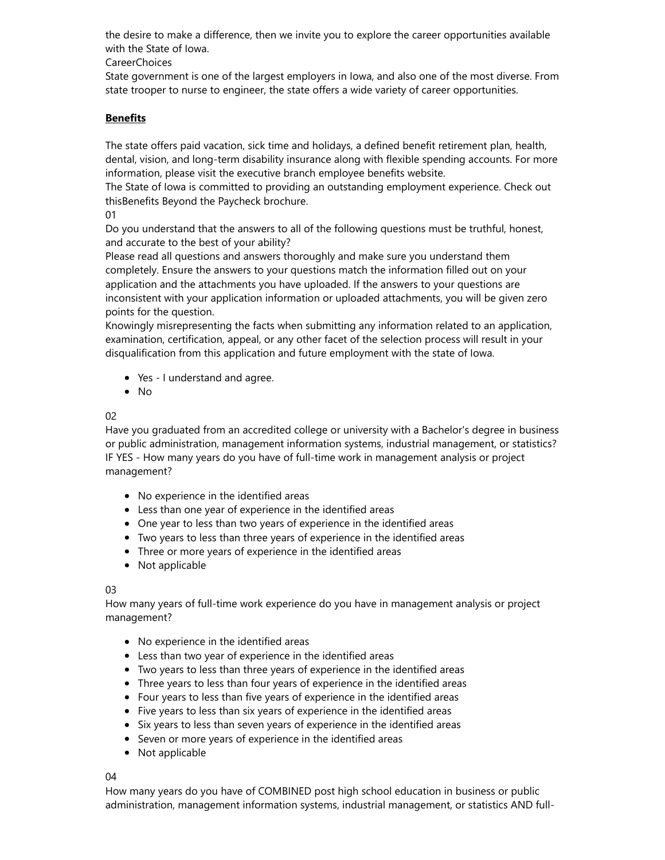the desire to make a difference, then we invite you to explore the career opportunities available with the State of Iowa.

CareerChoices

State government is one of the largest employers in Iowa, and also one of the most diverse. From state trooper to nurse to engineer, the state offers a wide variety of career opportunities.

#### **Benefits**

The state offers paid vacation, sick time and holidays, a defined benefit retirement plan, health, dental, vision, and long-term disability insurance along with flexible spending accounts. For more information, please visit the executive branch employee benefits website.

The State of Iowa is committed to providing an outstanding employment experience. Check out thisBenefits Beyond the Paycheck brochure.

01

Do you understand that the answers to all of the following questions must be truthful, honest, and accurate to the best of your ability?

Please read all questions and answers thoroughly and make sure you understand them completely. Ensure the answers to your questions match the information filled out on your application and the attachments you have uploaded. If the answers to your questions are inconsistent with your application information or uploaded attachments, you will be given zero points for the question.

Knowingly misrepresenting the facts when submitting any information related to an application, examination, certification, appeal, or any other facet of the selection process will result in your disqualification from this application and future employment with the state of Iowa.

- Yes I understand and agree.
- No

02

Have you graduated from an accredited college or university with a Bachelor's degree in business or public administration, management information systems, industrial management, or statistics? IF YES - How many years do you have of full-time work in management analysis or project management?

- No experience in the identified areas
- Less than one year of experience in the identified areas
- One year to less than two years of experience in the identified areas
- Two years to less than three years of experience in the identified areas
- Three or more years of experience in the identified areas
- Not applicable

#### 03

How many years of full-time work experience do you have in management analysis or project management?

- No experience in the identified areas
- Less than two year of experience in the identified areas
- Two years to less than three years of experience in the identified areas
- Three years to less than four years of experience in the identified areas
- Four years to less than five years of experience in the identified areas
- Five years to less than six years of experience in the identified areas
- Six years to less than seven years of experience in the identified areas
- Seven or more years of experience in the identified areas
- Not applicable

04

How many years do you have of COMBINED post high school education in business or public administration, management information systems, industrial management, or statistics AND full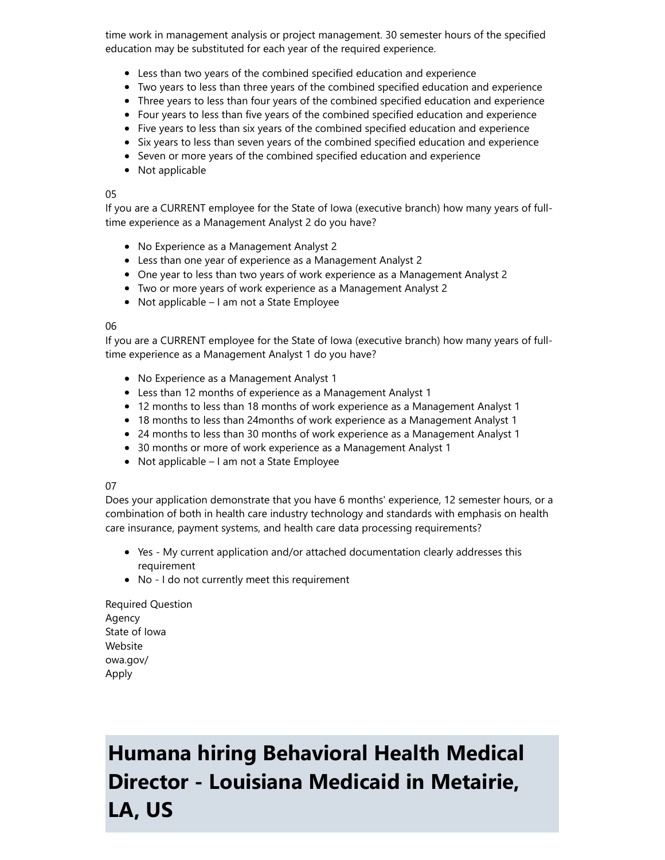time work in management analysis or project management. 30 semester hours of the specified education may be substituted for each year of the required experience.

- Less than two years of the combined specified education and experience
- Two years to less than three years of the combined specified education and experience
- Three years to less than four years of the combined specified education and experience
- Four years to less than five years of the combined specified education and experience
- Five years to less than six years of the combined specified education and experience
- Six years to less than seven years of the combined specified education and experience
- Seven or more years of the combined specified education and experience
- Not applicable

#### 05

If you are a CURRENT employee for the State of Iowa (executive branch) how many years of fulltime experience as a Management Analyst 2 do you have?

- No Experience as a Management Analyst 2
- Less than one year of experience as a Management Analyst 2
- One year to less than two years of work experience as a Management Analyst 2
- Two or more years of work experience as a Management Analyst 2
- Not applicable I am not a State Employee

#### 06

If you are a CURRENT employee for the State of Iowa (executive branch) how many years of fulltime experience as a Management Analyst 1 do you have?

- No Experience as a Management Analyst 1
- Less than 12 months of experience as a Management Analyst 1
- 12 months to less than 18 months of work experience as a Management Analyst 1
- 18 months to less than 24months of work experience as a Management Analyst 1
- 24 months to less than 30 months of work experience as a Management Analyst 1
- 30 months or more of work experience as a Management Analyst 1
- Not applicable I am not a State Employee

#### 07

Does your application demonstrate that you have 6 months' experience, 12 semester hours, or a combination of both in health care industry technology and standards with emphasis on health care insurance, payment systems, and health care data processing requirements?

- Yes My current application and/or attached documentation clearly addresses this requirement
- No I do not currently meet this requirement

Required Question Agency State of Iowa Website owa.gov/ Apply

# Humana hiring Behavioral Health Medical Director - Louisiana Medicaid in Metairie, LA, US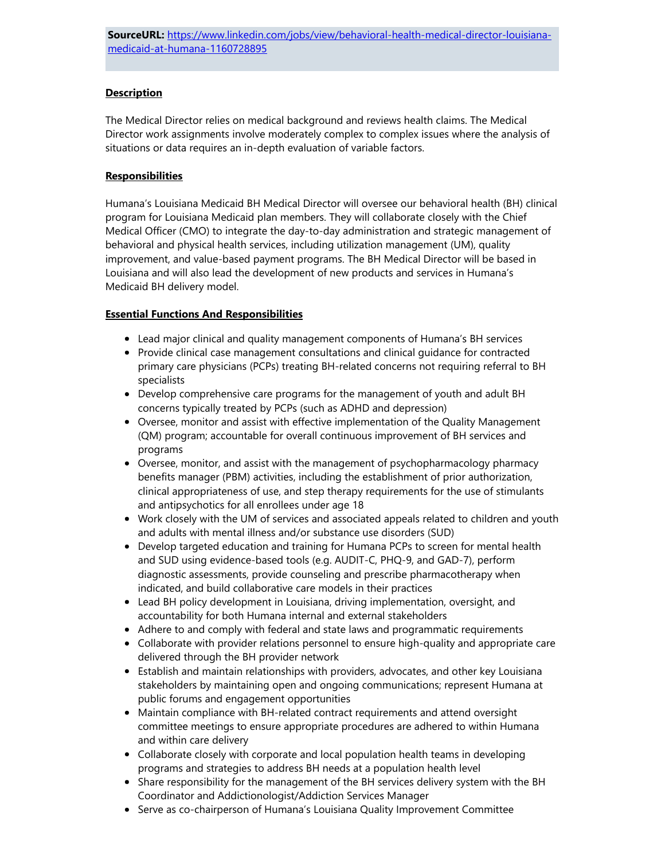#### **Description**

The Medical Director relies on medical background and reviews health claims. The Medical Director work assignments involve moderately complex to complex issues where the analysis of situations or data requires an in-depth evaluation of variable factors.

#### **Responsibilities**

Humana's Louisiana Medicaid BH Medical Director will oversee our behavioral health (BH) clinical program for Louisiana Medicaid plan members. They will collaborate closely with the Chief Medical Officer (CMO) to integrate the day-to-day administration and strategic management of behavioral and physical health services, including utilization management (UM), quality improvement, and value-based payment programs. The BH Medical Director will be based in Louisiana and will also lead the development of new products and services in Humana's Medicaid BH delivery model.

#### Essential Functions And Responsibilities

- Lead major clinical and quality management components of Humana's BH services
- Provide clinical case management consultations and clinical guidance for contracted primary care physicians (PCPs) treating BH-related concerns not requiring referral to BH specialists
- Develop comprehensive care programs for the management of youth and adult BH concerns typically treated by PCPs (such as ADHD and depression)
- Oversee, monitor and assist with effective implementation of the Quality Management (QM) program; accountable for overall continuous improvement of BH services and programs
- Oversee, monitor, and assist with the management of psychopharmacology pharmacy benefits manager (PBM) activities, including the establishment of prior authorization, clinical appropriateness of use, and step therapy requirements for the use of stimulants and antipsychotics for all enrollees under age 18
- Work closely with the UM of services and associated appeals related to children and youth and adults with mental illness and/or substance use disorders (SUD)
- Develop targeted education and training for Humana PCPs to screen for mental health and SUD using evidence-based tools (e.g. AUDIT-C, PHQ-9, and GAD-7), perform diagnostic assessments, provide counseling and prescribe pharmacotherapy when indicated, and build collaborative care models in their practices
- Lead BH policy development in Louisiana, driving implementation, oversight, and accountability for both Humana internal and external stakeholders
- Adhere to and comply with federal and state laws and programmatic requirements
- Collaborate with provider relations personnel to ensure high-quality and appropriate care delivered through the BH provider network
- Establish and maintain relationships with providers, advocates, and other key Louisiana stakeholders by maintaining open and ongoing communications; represent Humana at public forums and engagement opportunities
- Maintain compliance with BH-related contract requirements and attend oversight committee meetings to ensure appropriate procedures are adhered to within Humana and within care delivery
- Collaborate closely with corporate and local population health teams in developing programs and strategies to address BH needs at a population health level
- Share responsibility for the management of the BH services delivery system with the BH Coordinator and Addictionologist/Addiction Services Manager
- Serve as co-chairperson of Humana's Louisiana Quality Improvement Committee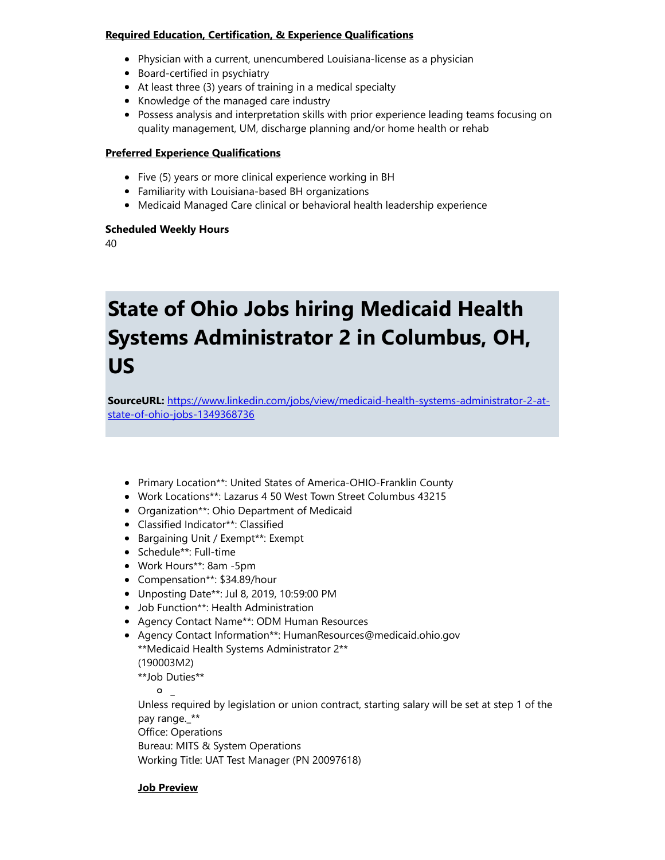#### Required Education, Certification, & Experience Qualifications

- Physician with a current, unencumbered Louisiana-license as a physician
- Board-certified in psychiatry
- At least three (3) years of training in a medical specialty
- Knowledge of the managed care industry
- Possess analysis and interpretation skills with prior experience leading teams focusing on quality management, UM, discharge planning and/or home health or rehab

#### Preferred Experience Qualifications

- Five (5) years or more clinical experience working in BH
- Familiarity with Louisiana-based BH organizations
- Medicaid Managed Care clinical or behavioral health leadership experience

#### Scheduled Weekly Hours

40

### State of Ohio Jobs hiring Medicaid Health Systems Administrator 2 in Columbus, OH, US

SourceURL: [https://www.linkedin.com/jobs/view/medicaid-health-systems-administrator-2-at](https://www.linkedin.com/jobs/view/medicaid-health-systems-administrator-2-at-state-of-ohio-jobs-1349368736)state-of-ohio-jobs-1349368736

- Primary Location\*\*: United States of America-OHIO-Franklin County
- Work Locations\*\*: Lazarus 4 50 West Town Street Columbus 43215
- Organization\*\*: Ohio Department of Medicaid
- Classified Indicator\*\*: Classified
- Bargaining Unit / Exempt\*\*: Exempt
- Schedule\*\*: Full-time
- Work Hours\*\*: 8am -5pm
- Compensation\*\*: \$34.89/hour
- Unposting Date\*\*: Jul 8, 2019, 10:59:00 PM
- Job Function\*\*: Health Administration
- Agency Contact Name\*\*: ODM Human Resources
- Agency Contact Information\*\*: HumanResources@medicaid.ohio.gov \*\*Medicaid Health Systems Administrator 2\*\* (190003M2) \*\*Job Duties\*\*

 $\circ$   $\overline{\phantom{0}}$ 

Unless required by legislation or union contract, starting salary will be set at step 1 of the pay range.\_\*\*

Office: Operations Bureau: MITS & System Operations Working Title: UAT Test Manager (PN 20097618)

#### Job Preview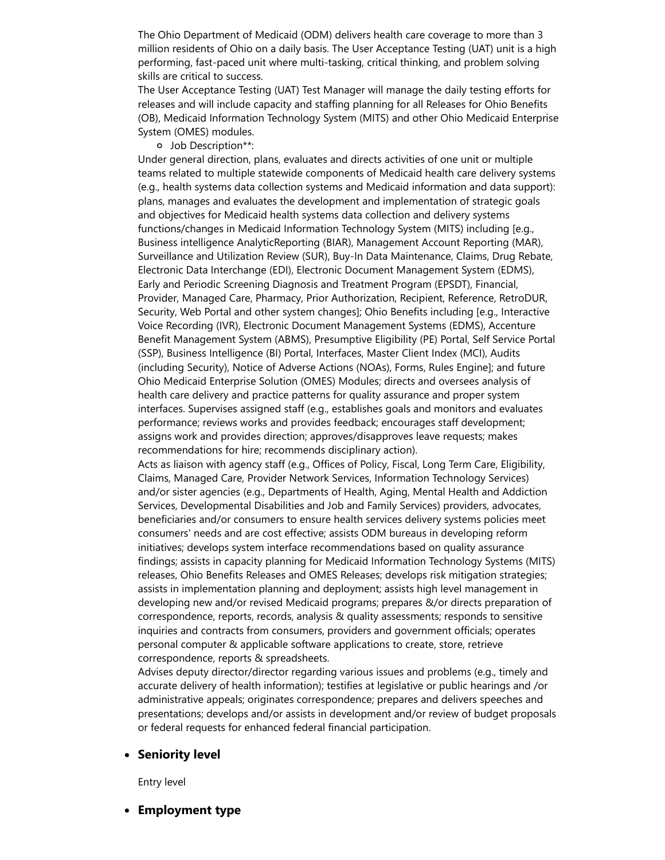The Ohio Department of Medicaid (ODM) delivers health care coverage to more than 3 million residents of Ohio on a daily basis. The User Acceptance Testing (UAT) unit is a high performing, fast-paced unit where multi-tasking, critical thinking, and problem solving skills are critical to success.

The User Acceptance Testing (UAT) Test Manager will manage the daily testing efforts for releases and will include capacity and staffing planning for all Releases for Ohio Benefits (OB), Medicaid Information Technology System (MITS) and other Ohio Medicaid Enterprise System (OMES) modules.

Job Description\*\*:

Under general direction, plans, evaluates and directs activities of one unit or multiple teams related to multiple statewide components of Medicaid health care delivery systems (e.g., health systems data collection systems and Medicaid information and data support): plans, manages and evaluates the development and implementation of strategic goals and objectives for Medicaid health systems data collection and delivery systems functions/changes in Medicaid Information Technology System (MITS) including [e.g., Business intelligence AnalyticReporting (BIAR), Management Account Reporting (MAR), Surveillance and Utilization Review (SUR), Buy-In Data Maintenance, Claims, Drug Rebate, Electronic Data Interchange (EDI), Electronic Document Management System (EDMS), Early and Periodic Screening Diagnosis and Treatment Program (EPSDT), Financial, Provider, Managed Care, Pharmacy, Prior Authorization, Recipient, Reference, RetroDUR, Security, Web Portal and other system changes]; Ohio Benefits including [e.g., Interactive Voice Recording (IVR), Electronic Document Management Systems (EDMS), Accenture Benefit Management System (ABMS), Presumptive Eligibility (PE) Portal, Self Service Portal (SSP), Business Intelligence (BI) Portal, Interfaces, Master Client Index (MCI), Audits (including Security), Notice of Adverse Actions (NOAs), Forms, Rules Engine]; and future Ohio Medicaid Enterprise Solution (OMES) Modules; directs and oversees analysis of health care delivery and practice patterns for quality assurance and proper system interfaces. Supervises assigned staff (e.g., establishes goals and monitors and evaluates performance; reviews works and provides feedback; encourages staff development; assigns work and provides direction; approves/disapproves leave requests; makes recommendations for hire; recommends disciplinary action).

Acts as liaison with agency staff (e.g., Offices of Policy, Fiscal, Long Term Care, Eligibility, Claims, Managed Care, Provider Network Services, Information Technology Services) and/or sister agencies (e.g., Departments of Health, Aging, Mental Health and Addiction Services, Developmental Disabilities and Job and Family Services) providers, advocates, beneficiaries and/or consumers to ensure health services delivery systems policies meet consumers' needs and are cost effective; assists ODM bureaus in developing reform initiatives; develops system interface recommendations based on quality assurance findings; assists in capacity planning for Medicaid Information Technology Systems (MITS) releases, Ohio Benefits Releases and OMES Releases; develops risk mitigation strategies; assists in implementation planning and deployment; assists high level management in developing new and/or revised Medicaid programs; prepares &/or directs preparation of correspondence, reports, records, analysis & quality assessments; responds to sensitive inquiries and contracts from consumers, providers and government officials; operates personal computer & applicable software applications to create, store, retrieve correspondence, reports & spreadsheets.

Advises deputy director/director regarding various issues and problems (e.g., timely and accurate delivery of health information); testifies at legislative or public hearings and /or administrative appeals; originates correspondence; prepares and delivers speeches and presentations; develops and/or assists in development and/or review of budget proposals or federal requests for enhanced federal financial participation.

• Seniority level

Entry level

• Employment type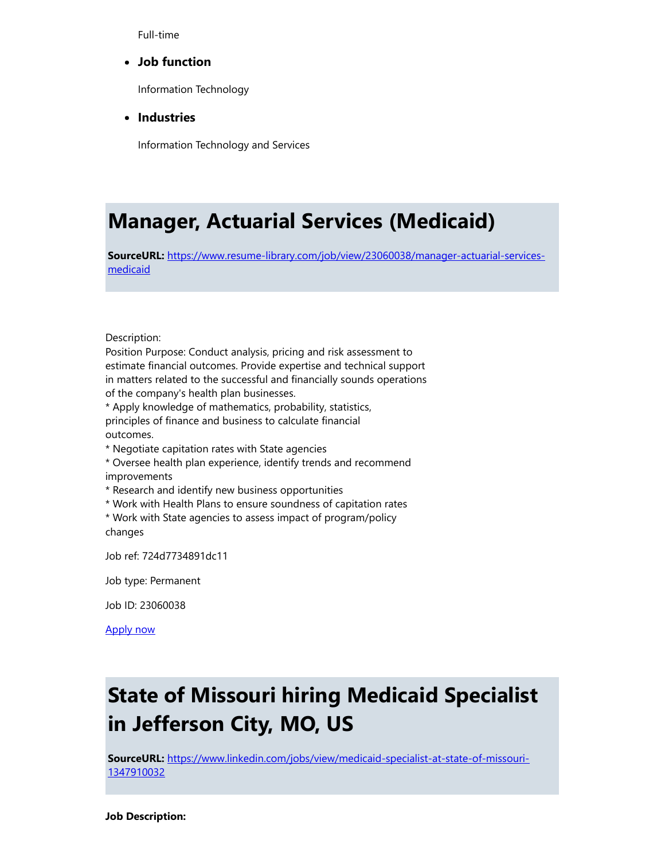Full-time

#### Job function

Information Technology

• Industries

Information Technology and Services

### Manager, Actuarial Services (Medicaid)

SourceURL: [https://www.resume-library.com/job/view/23060038/manager-actuarial-services](https://www.resume-library.com/job/view/23060038/manager-actuarial-services-medicaid)medicaid

Description:

Position Purpose: Conduct analysis, pricing and risk assessment to estimate financial outcomes. Provide expertise and technical support in matters related to the successful and financially sounds operations of the company's health plan businesses.

\* Apply knowledge of mathematics, probability, statistics, principles of finance and business to calculate financial outcomes.

\* Negotiate capitation rates with State agencies

- \* Oversee health plan experience, identify trends and recommend improvements
- \* Research and identify new business opportunities
- \* Work with Health Plans to ensure soundness of capitation rates

\* Work with State agencies to assess impact of program/policy changes

Job ref: 724d7734891dc11

Job type: Permanent

Job ID: 23060038

[Apply now](https://www.resume-library.com/job/apply/23060038)

### State of Missouri hiring Medicaid Specialist in Jefferson City, MO, US

SourceURL: [https://www.linkedin.com/jobs/view/medicaid-specialist-at-state-of-missouri-](https://www.linkedin.com/jobs/view/medicaid-specialist-at-state-of-missouri-1347910032)1347910032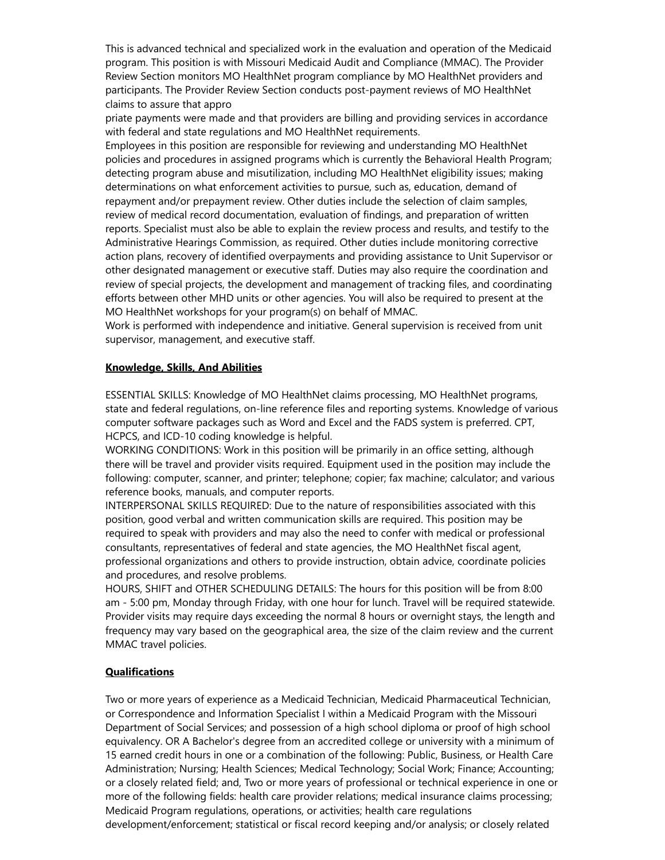This is advanced technical and specialized work in the evaluation and operation of the Medicaid program. This position is with Missouri Medicaid Audit and Compliance (MMAC). The Provider Review Section monitors MO HealthNet program compliance by MO HealthNet providers and participants. The Provider Review Section conducts post-payment reviews of MO HealthNet claims to assure that appro

priate payments were made and that providers are billing and providing services in accordance with federal and state regulations and MO HealthNet requirements.

Employees in this position are responsible for reviewing and understanding MO HealthNet policies and procedures in assigned programs which is currently the Behavioral Health Program; detecting program abuse and misutilization, including MO HealthNet eligibility issues; making determinations on what enforcement activities to pursue, such as, education, demand of repayment and/or prepayment review. Other duties include the selection of claim samples, review of medical record documentation, evaluation of findings, and preparation of written reports. Specialist must also be able to explain the review process and results, and testify to the Administrative Hearings Commission, as required. Other duties include monitoring corrective action plans, recovery of identified overpayments and providing assistance to Unit Supervisor or other designated management or executive staff. Duties may also require the coordination and review of special projects, the development and management of tracking files, and coordinating efforts between other MHD units or other agencies. You will also be required to present at the MO HealthNet workshops for your program(s) on behalf of MMAC.

Work is performed with independence and initiative. General supervision is received from unit supervisor, management, and executive staff.

#### Knowledge, Skills, And Abilities

ESSENTIAL SKILLS: Knowledge of MO HealthNet claims processing, MO HealthNet programs, state and federal regulations, on-line reference files and reporting systems. Knowledge of various computer software packages such as Word and Excel and the FADS system is preferred. CPT, HCPCS, and ICD-10 coding knowledge is helpful.

WORKING CONDITIONS: Work in this position will be primarily in an office setting, although there will be travel and provider visits required. Equipment used in the position may include the following: computer, scanner, and printer; telephone; copier; fax machine; calculator; and various reference books, manuals, and computer reports.

INTERPERSONAL SKILLS REQUIRED: Due to the nature of responsibilities associated with this position, good verbal and written communication skills are required. This position may be required to speak with providers and may also the need to confer with medical or professional consultants, representatives of federal and state agencies, the MO HealthNet fiscal agent, professional organizations and others to provide instruction, obtain advice, coordinate policies and procedures, and resolve problems.

HOURS, SHIFT and OTHER SCHEDULING DETAILS: The hours for this position will be from 8:00 am - 5:00 pm, Monday through Friday, with one hour for lunch. Travel will be required statewide. Provider visits may require days exceeding the normal 8 hours or overnight stays, the length and frequency may vary based on the geographical area, the size of the claim review and the current MMAC travel policies.

#### **Qualifications**

Two or more years of experience as a Medicaid Technician, Medicaid Pharmaceutical Technician, or Correspondence and Information Specialist I within a Medicaid Program with the Missouri Department of Social Services; and possession of a high school diploma or proof of high school equivalency. OR A Bachelor's degree from an accredited college or university with a minimum of 15 earned credit hours in one or a combination of the following: Public, Business, or Health Care Administration; Nursing; Health Sciences; Medical Technology; Social Work; Finance; Accounting; or a closely related field; and, Two or more years of professional or technical experience in one or more of the following fields: health care provider relations; medical insurance claims processing; Medicaid Program regulations, operations, or activities; health care regulations

development/enforcement; statistical or fiscal record keeping and/or analysis; or closely related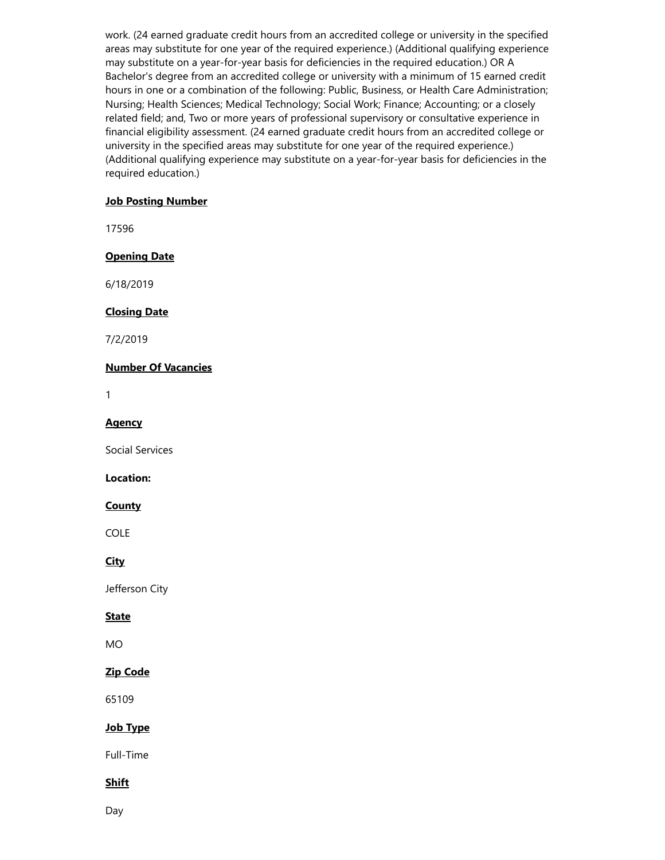work. (24 earned graduate credit hours from an accredited college or university in the specified areas may substitute for one year of the required experience.) (Additional qualifying experience may substitute on a year-for-year basis for deficiencies in the required education.) OR A Bachelor's degree from an accredited college or university with a minimum of 15 earned credit hours in one or a combination of the following: Public, Business, or Health Care Administration; Nursing; Health Sciences; Medical Technology; Social Work; Finance; Accounting; or a closely related field; and, Two or more years of professional supervisory or consultative experience in financial eligibility assessment. (24 earned graduate credit hours from an accredited college or university in the specified areas may substitute for one year of the required experience.) (Additional qualifying experience may substitute on a year-for-year basis for deficiencies in the required education.)

#### Job Posting Number

17596

#### Opening Date

6/18/2019

#### Closing Date

7/2/2019

#### Number Of Vacancies

1

#### **Agency**

Social Services

#### Location:

#### **County**

COLE

#### **City**

Jefferson City

#### **State**

MO

#### Zip Code

65109

#### Job Type

Full-Time

#### **Shift**

Day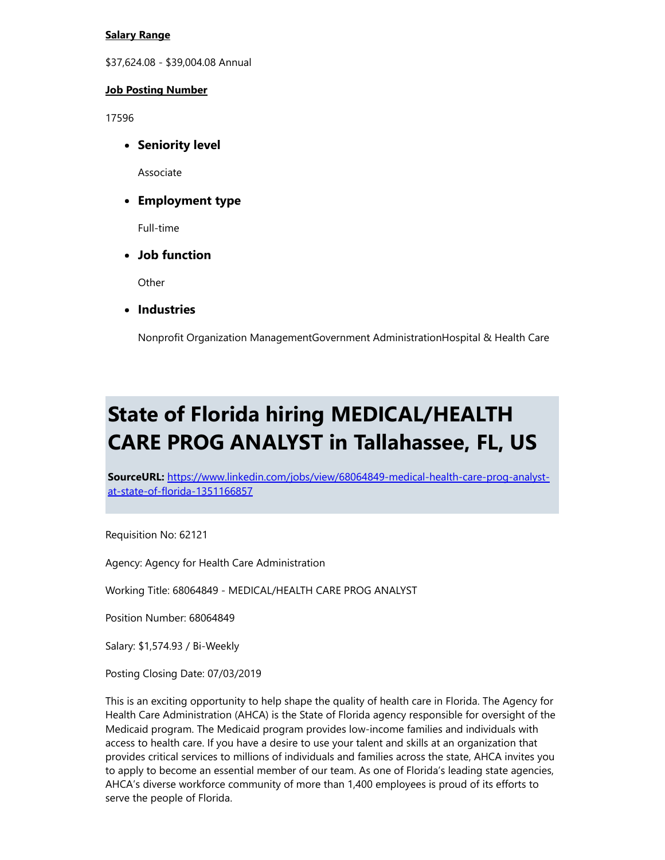#### Salary Range

\$37,624.08 - \$39,004.08 Annual

#### Job Posting Number

17596

**• Seniority level** 

Associate

Employment type

Full-time

Job function

Other

• Industries

Nonprofit Organization ManagementGovernment AdministrationHospital & Health Care

### State of Florida hiring MEDICAL/HEALTH CARE PROG ANALYST in Tallahassee, FL, US

SourceURL: [https://www.linkedin.com/jobs/view/68064849-medical-health-care-prog-analyst](https://www.linkedin.com/jobs/view/68064849-medical-health-care-prog-analyst-at-state-of-florida-1351166857)at-state-of-florida-1351166857

Requisition No: 62121

Agency: Agency for Health Care Administration

Working Title: 68064849 - MEDICAL/HEALTH CARE PROG ANALYST

Position Number: 68064849

Salary: \$1,574.93 / Bi-Weekly

Posting Closing Date: 07/03/2019

This is an exciting opportunity to help shape the quality of health care in Florida. The Agency for Health Care Administration (AHCA) is the State of Florida agency responsible for oversight of the Medicaid program. The Medicaid program provides low-income families and individuals with access to health care. If you have a desire to use your talent and skills at an organization that provides critical services to millions of individuals and families across the state, AHCA invites you to apply to become an essential member of our team. As one of Florida's leading state agencies, AHCA's diverse workforce community of more than 1,400 employees is proud of its efforts to serve the people of Florida.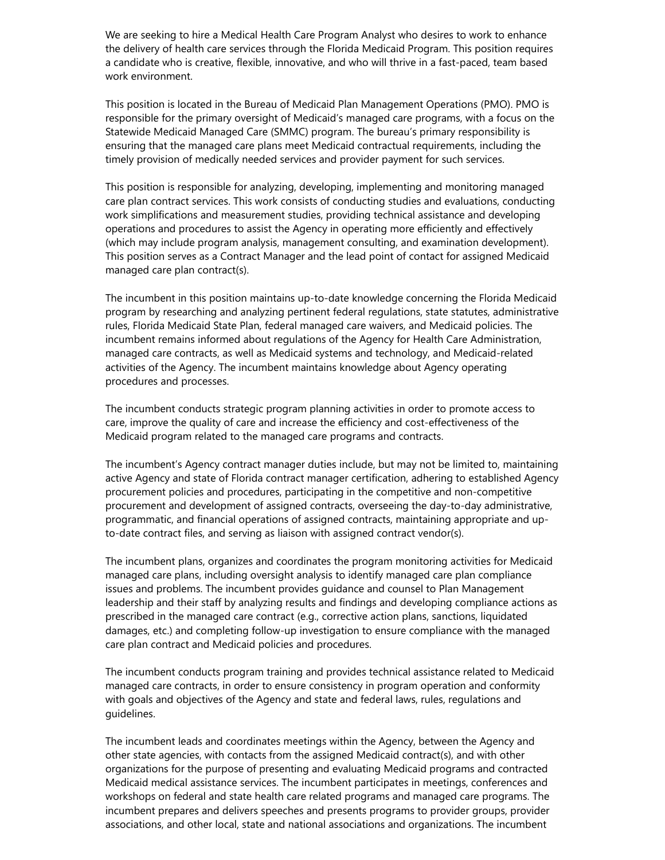We are seeking to hire a Medical Health Care Program Analyst who desires to work to enhance the delivery of health care services through the Florida Medicaid Program. This position requires a candidate who is creative, flexible, innovative, and who will thrive in a fast-paced, team based work environment.

This position is located in the Bureau of Medicaid Plan Management Operations (PMO). PMO is responsible for the primary oversight of Medicaid's managed care programs, with a focus on the Statewide Medicaid Managed Care (SMMC) program. The bureau's primary responsibility is ensuring that the managed care plans meet Medicaid contractual requirements, including the timely provision of medically needed services and provider payment for such services.

This position is responsible for analyzing, developing, implementing and monitoring managed care plan contract services. This work consists of conducting studies and evaluations, conducting work simplifications and measurement studies, providing technical assistance and developing operations and procedures to assist the Agency in operating more efficiently and effectively (which may include program analysis, management consulting, and examination development). This position serves as a Contract Manager and the lead point of contact for assigned Medicaid managed care plan contract(s).

The incumbent in this position maintains up-to-date knowledge concerning the Florida Medicaid program by researching and analyzing pertinent federal regulations, state statutes, administrative rules, Florida Medicaid State Plan, federal managed care waivers, and Medicaid policies. The incumbent remains informed about regulations of the Agency for Health Care Administration, managed care contracts, as well as Medicaid systems and technology, and Medicaid-related activities of the Agency. The incumbent maintains knowledge about Agency operating procedures and processes.

The incumbent conducts strategic program planning activities in order to promote access to care, improve the quality of care and increase the efficiency and cost-effectiveness of the Medicaid program related to the managed care programs and contracts.

The incumbent's Agency contract manager duties include, but may not be limited to, maintaining active Agency and state of Florida contract manager certification, adhering to established Agency procurement policies and procedures, participating in the competitive and non-competitive procurement and development of assigned contracts, overseeing the day-to-day administrative, programmatic, and financial operations of assigned contracts, maintaining appropriate and upto-date contract files, and serving as liaison with assigned contract vendor(s).

The incumbent plans, organizes and coordinates the program monitoring activities for Medicaid managed care plans, including oversight analysis to identify managed care plan compliance issues and problems. The incumbent provides guidance and counsel to Plan Management leadership and their staff by analyzing results and findings and developing compliance actions as prescribed in the managed care contract (e.g., corrective action plans, sanctions, liquidated damages, etc.) and completing follow-up investigation to ensure compliance with the managed care plan contract and Medicaid policies and procedures.

The incumbent conducts program training and provides technical assistance related to Medicaid managed care contracts, in order to ensure consistency in program operation and conformity with goals and objectives of the Agency and state and federal laws, rules, regulations and guidelines.

The incumbent leads and coordinates meetings within the Agency, between the Agency and other state agencies, with contacts from the assigned Medicaid contract(s), and with other organizations for the purpose of presenting and evaluating Medicaid programs and contracted Medicaid medical assistance services. The incumbent participates in meetings, conferences and workshops on federal and state health care related programs and managed care programs. The incumbent prepares and delivers speeches and presents programs to provider groups, provider associations, and other local, state and national associations and organizations. The incumbent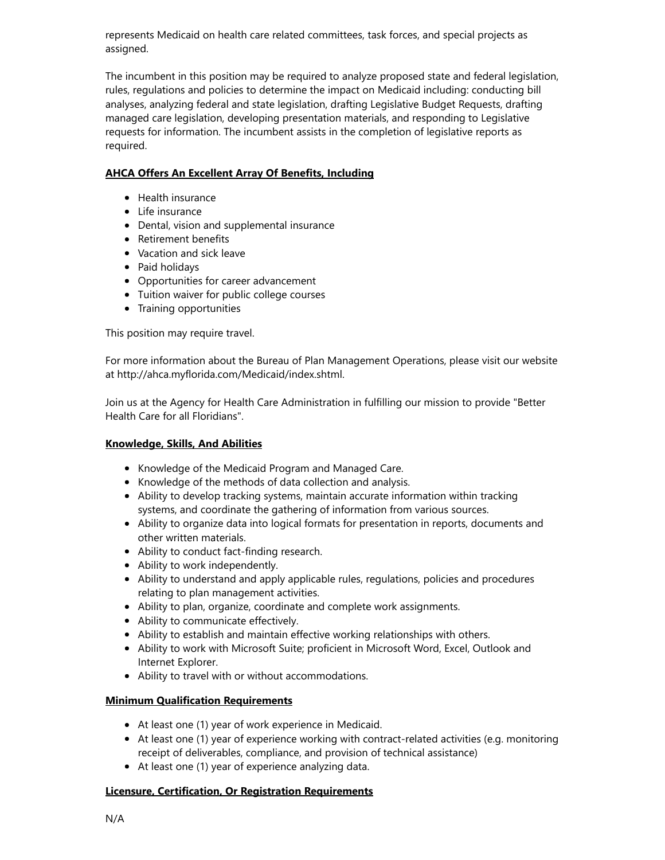represents Medicaid on health care related committees, task forces, and special projects as assigned.

The incumbent in this position may be required to analyze proposed state and federal legislation, rules, regulations and policies to determine the impact on Medicaid including: conducting bill analyses, analyzing federal and state legislation, drafting Legislative Budget Requests, drafting managed care legislation, developing presentation materials, and responding to Legislative requests for information. The incumbent assists in the completion of legislative reports as required.

#### AHCA Offers An Excellent Array Of Benefits, Including

- Health insurance
- Life insurance
- Dental, vision and supplemental insurance
- Retirement benefits
- Vacation and sick leave
- Paid holidays
- Opportunities for career advancement
- Tuition waiver for public college courses
- Training opportunities

This position may require travel.

For more information about the Bureau of Plan Management Operations, please visit our website at http://ahca.myflorida.com/Medicaid/index.shtml.

Join us at the Agency for Health Care Administration in fulfilling our mission to provide "Better Health Care for all Floridians".

#### Knowledge, Skills, And Abilities

- Knowledge of the Medicaid Program and Managed Care.
- Knowledge of the methods of data collection and analysis.
- Ability to develop tracking systems, maintain accurate information within tracking systems, and coordinate the gathering of information from various sources.
- Ability to organize data into logical formats for presentation in reports, documents and other written materials.
- Ability to conduct fact-finding research.
- Ability to work independently.
- Ability to understand and apply applicable rules, regulations, policies and procedures relating to plan management activities.
- Ability to plan, organize, coordinate and complete work assignments.
- Ability to communicate effectively.
- Ability to establish and maintain effective working relationships with others.
- Ability to work with Microsoft Suite; proficient in Microsoft Word, Excel, Outlook and Internet Explorer.
- Ability to travel with or without accommodations.

#### Minimum Qualification Requirements

- At least one (1) year of work experience in Medicaid.
- At least one (1) year of experience working with contract-related activities (e.g. monitoring receipt of deliverables, compliance, and provision of technical assistance)
- At least one (1) year of experience analyzing data.

#### Licensure, Certification, Or Registration Requirements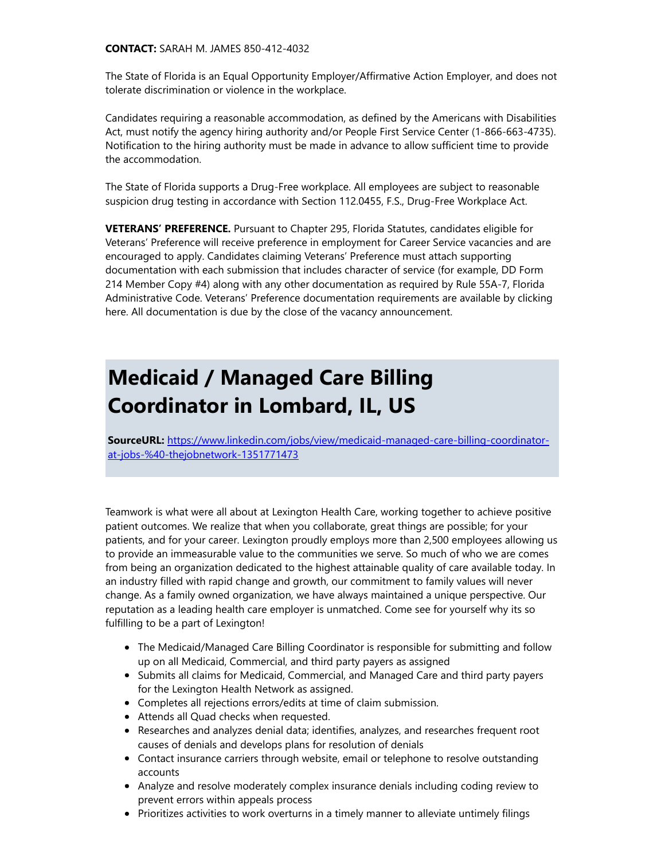#### CONTACT: SARAH M. JAMES 850-412-4032

The State of Florida is an Equal Opportunity Employer/Affirmative Action Employer, and does not tolerate discrimination or violence in the workplace.

Candidates requiring a reasonable accommodation, as defined by the Americans with Disabilities Act, must notify the agency hiring authority and/or People First Service Center (1-866-663-4735). Notification to the hiring authority must be made in advance to allow sufficient time to provide the accommodation.

The State of Florida supports a Drug-Free workplace. All employees are subject to reasonable suspicion drug testing in accordance with Section 112.0455, F.S., Drug-Free Workplace Act.

VETERANS' PREFERENCE. Pursuant to Chapter 295, Florida Statutes, candidates eligible for Veterans' Preference will receive preference in employment for Career Service vacancies and are encouraged to apply. Candidates claiming Veterans' Preference must attach supporting documentation with each submission that includes character of service (for example, DD Form 214 Member Copy #4) along with any other documentation as required by Rule 55A-7, Florida Administrative Code. Veterans' Preference documentation requirements are available by clicking here. All documentation is due by the close of the vacancy announcement.

### Medicaid / Managed Care Billing Coordinator in Lombard, IL, US

SourceURL: [https://www.linkedin.com/jobs/view/medicaid-managed-care-billing-coordinator](https://www.linkedin.com/jobs/view/medicaid-managed-care-billing-coordinator-at-jobs-%40-thejobnetwork-1351771473)at-jobs-%40-thejobnetwork-1351771473

Teamwork is what were all about at Lexington Health Care, working together to achieve positive patient outcomes. We realize that when you collaborate, great things are possible; for your patients, and for your career. Lexington proudly employs more than 2,500 employees allowing us to provide an immeasurable value to the communities we serve. So much of who we are comes from being an organization dedicated to the highest attainable quality of care available today. In an industry filled with rapid change and growth, our commitment to family values will never change. As a family owned organization, we have always maintained a unique perspective. Our reputation as a leading health care employer is unmatched. Come see for yourself why its so fulfilling to be a part of Lexington!

- The Medicaid/Managed Care Billing Coordinator is responsible for submitting and follow up on all Medicaid, Commercial, and third party payers as assigned
- Submits all claims for Medicaid, Commercial, and Managed Care and third party payers for the Lexington Health Network as assigned.
- Completes all rejections errors/edits at time of claim submission.
- Attends all Quad checks when requested.
- Researches and analyzes denial data; identifies, analyzes, and researches frequent root causes of denials and develops plans for resolution of denials
- Contact insurance carriers through website, email or telephone to resolve outstanding accounts
- Analyze and resolve moderately complex insurance denials including coding review to prevent errors within appeals process
- Prioritizes activities to work overturns in a timely manner to alleviate untimely filings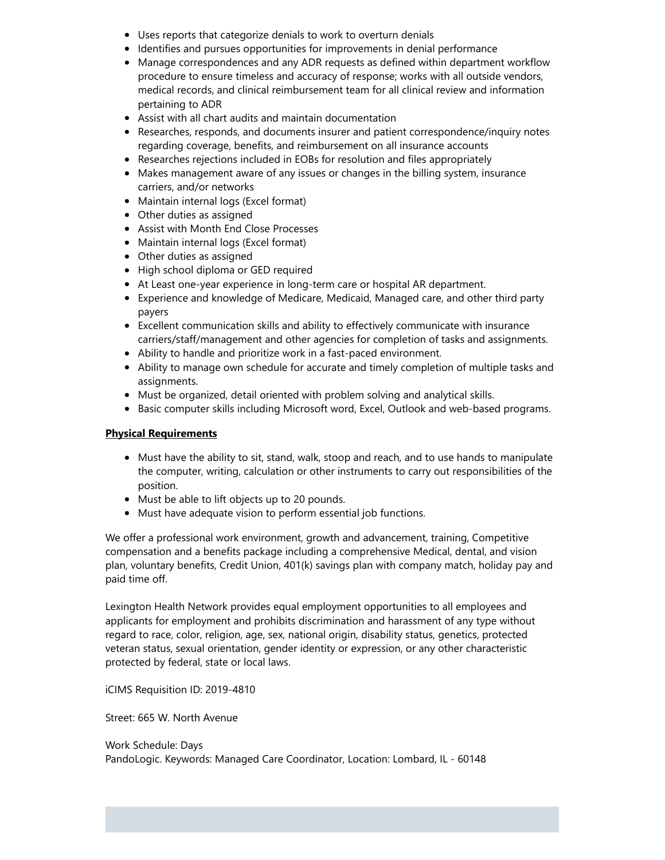- Uses reports that categorize denials to work to overturn denials
- Identifies and pursues opportunities for improvements in denial performance
- Manage correspondences and any ADR requests as defined within department workflow procedure to ensure timeless and accuracy of response; works with all outside vendors, medical records, and clinical reimbursement team for all clinical review and information pertaining to ADR
- Assist with all chart audits and maintain documentation
- Researches, responds, and documents insurer and patient correspondence/inquiry notes regarding coverage, benefits, and reimbursement on all insurance accounts
- Researches rejections included in EOBs for resolution and files appropriately
- Makes management aware of any issues or changes in the billing system, insurance carriers, and/or networks
- Maintain internal logs (Excel format)
- Other duties as assigned
- Assist with Month End Close Processes
- Maintain internal logs (Excel format)
- Other duties as assigned
- High school diploma or GED required
- At Least one-year experience in long-term care or hospital AR department.
- Experience and knowledge of Medicare, Medicaid, Managed care, and other third party payers
- Excellent communication skills and ability to effectively communicate with insurance carriers/staff/management and other agencies for completion of tasks and assignments.
- Ability to handle and prioritize work in a fast-paced environment.
- Ability to manage own schedule for accurate and timely completion of multiple tasks and assignments.
- Must be organized, detail oriented with problem solving and analytical skills.
- **Basic computer skills including Microsoft word, Excel, Outlook and web-based programs.**

#### Physical Requirements

- Must have the ability to sit, stand, walk, stoop and reach, and to use hands to manipulate the computer, writing, calculation or other instruments to carry out responsibilities of the position.
- Must be able to lift objects up to 20 pounds.
- Must have adequate vision to perform essential job functions.

We offer a professional work environment, growth and advancement, training, Competitive compensation and a benefits package including a comprehensive Medical, dental, and vision plan, voluntary benefits, Credit Union, 401(k) savings plan with company match, holiday pay and paid time off.

Lexington Health Network provides equal employment opportunities to all employees and applicants for employment and prohibits discrimination and harassment of any type without regard to race, color, religion, age, sex, national origin, disability status, genetics, protected veteran status, sexual orientation, gender identity or expression, or any other characteristic protected by federal, state or local laws.

iCIMS Requisition ID: 2019-4810

Street: 665 W. North Avenue

Work Schedule: Days PandoLogic. Keywords: Managed Care Coordinator, Location: Lombard, IL - 60148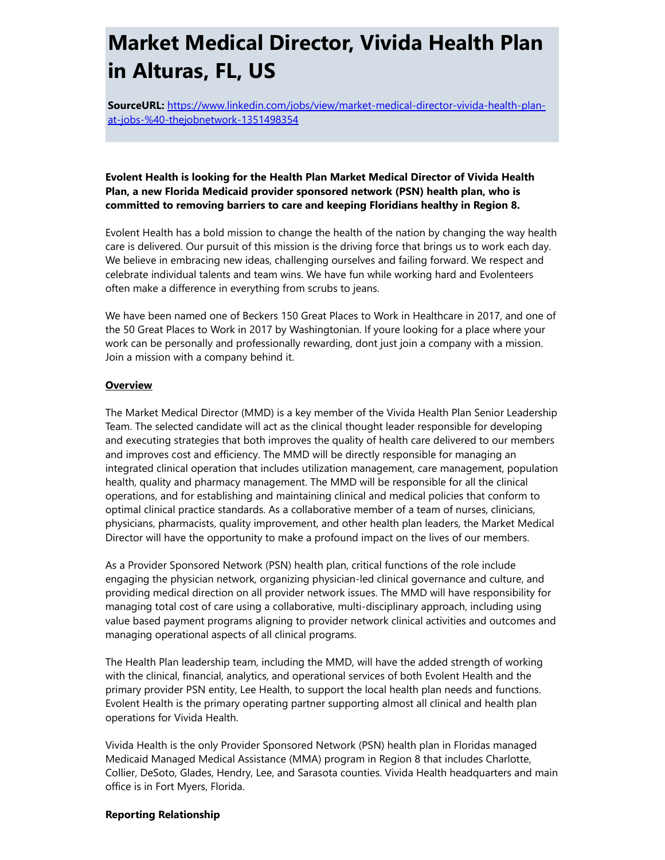### Market Medical Director, Vivida Health Plan in Alturas, FL, US

SourceURL: [https://www.linkedin.com/jobs/view/market-medical-director-vivida-health-plan](https://www.linkedin.com/jobs/view/market-medical-director-vivida-health-plan-at-jobs-%40-thejobnetwork-1351498354)at-jobs-%40-thejobnetwork-1351498354

#### Evolent Health is looking for the Health Plan Market Medical Director of Vivida Health Plan, a new Florida Medicaid provider sponsored network (PSN) health plan, who is committed to removing barriers to care and keeping Floridians healthy in Region 8.

Evolent Health has a bold mission to change the health of the nation by changing the way health care is delivered. Our pursuit of this mission is the driving force that brings us to work each day. We believe in embracing new ideas, challenging ourselves and failing forward. We respect and celebrate individual talents and team wins. We have fun while working hard and Evolenteers often make a difference in everything from scrubs to jeans.

We have been named one of Beckers 150 Great Places to Work in Healthcare in 2017, and one of the 50 Great Places to Work in 2017 by Washingtonian. If youre looking for a place where your work can be personally and professionally rewarding, dont just join a company with a mission. Join a mission with a company behind it.

#### **Overview**

The Market Medical Director (MMD) is a key member of the Vivida Health Plan Senior Leadership Team. The selected candidate will act as the clinical thought leader responsible for developing and executing strategies that both improves the quality of health care delivered to our members and improves cost and efficiency. The MMD will be directly responsible for managing an integrated clinical operation that includes utilization management, care management, population health, quality and pharmacy management. The MMD will be responsible for all the clinical operations, and for establishing and maintaining clinical and medical policies that conform to optimal clinical practice standards. As a collaborative member of a team of nurses, clinicians, physicians, pharmacists, quality improvement, and other health plan leaders, the Market Medical Director will have the opportunity to make a profound impact on the lives of our members.

As a Provider Sponsored Network (PSN) health plan, critical functions of the role include engaging the physician network, organizing physician-led clinical governance and culture, and providing medical direction on all provider network issues. The MMD will have responsibility for managing total cost of care using a collaborative, multi-disciplinary approach, including using value based payment programs aligning to provider network clinical activities and outcomes and managing operational aspects of all clinical programs.

The Health Plan leadership team, including the MMD, will have the added strength of working with the clinical, financial, analytics, and operational services of both Evolent Health and the primary provider PSN entity, Lee Health, to support the local health plan needs and functions. Evolent Health is the primary operating partner supporting almost all clinical and health plan operations for Vivida Health.

Vivida Health is the only Provider Sponsored Network (PSN) health plan in Floridas managed Medicaid Managed Medical Assistance (MMA) program in Region 8 that includes Charlotte, Collier, DeSoto, Glades, Hendry, Lee, and Sarasota counties. Vivida Health headquarters and main office is in Fort Myers, Florida.

#### Reporting Relationship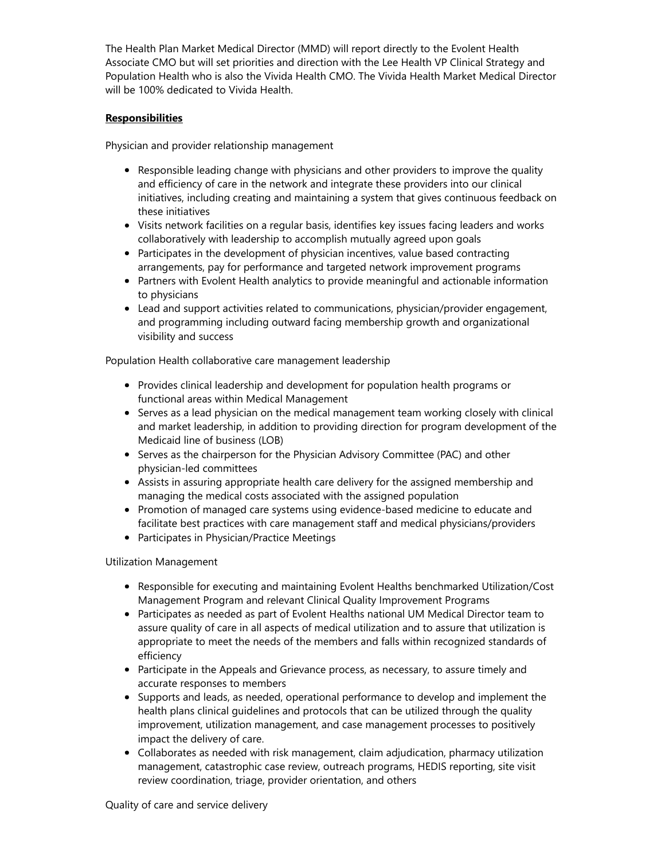The Health Plan Market Medical Director (MMD) will report directly to the Evolent Health Associate CMO but will set priorities and direction with the Lee Health VP Clinical Strategy and Population Health who is also the Vivida Health CMO. The Vivida Health Market Medical Director will be 100% dedicated to Vivida Health.

#### **Responsibilities**

Physician and provider relationship management

- Responsible leading change with physicians and other providers to improve the quality and efficiency of care in the network and integrate these providers into our clinical initiatives, including creating and maintaining a system that gives continuous feedback on these initiatives
- Visits network facilities on a regular basis, identifies key issues facing leaders and works collaboratively with leadership to accomplish mutually agreed upon goals
- Participates in the development of physician incentives, value based contracting arrangements, pay for performance and targeted network improvement programs
- Partners with Evolent Health analytics to provide meaningful and actionable information to physicians
- Lead and support activities related to communications, physician/provider engagement, and programming including outward facing membership growth and organizational visibility and success

Population Health collaborative care management leadership

- Provides clinical leadership and development for population health programs or functional areas within Medical Management
- Serves as a lead physician on the medical management team working closely with clinical and market leadership, in addition to providing direction for program development of the Medicaid line of business (LOB)
- Serves as the chairperson for the Physician Advisory Committee (PAC) and other physician-led committees
- Assists in assuring appropriate health care delivery for the assigned membership and managing the medical costs associated with the assigned population
- Promotion of managed care systems using evidence-based medicine to educate and facilitate best practices with care management staff and medical physicians/providers
- Participates in Physician/Practice Meetings

Utilization Management

- Responsible for executing and maintaining Evolent Healths benchmarked Utilization/Cost Management Program and relevant Clinical Quality Improvement Programs
- Participates as needed as part of Evolent Healths national UM Medical Director team to assure quality of care in all aspects of medical utilization and to assure that utilization is appropriate to meet the needs of the members and falls within recognized standards of efficiency
- Participate in the Appeals and Grievance process, as necessary, to assure timely and accurate responses to members
- Supports and leads, as needed, operational performance to develop and implement the health plans clinical guidelines and protocols that can be utilized through the quality improvement, utilization management, and case management processes to positively impact the delivery of care.
- Collaborates as needed with risk management, claim adjudication, pharmacy utilization management, catastrophic case review, outreach programs, HEDIS reporting, site visit review coordination, triage, provider orientation, and others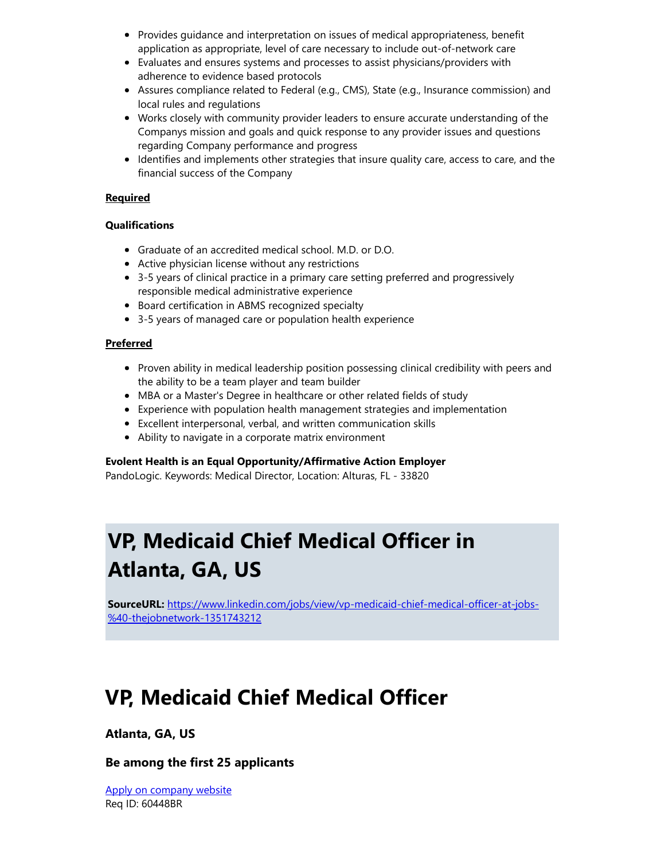- Provides guidance and interpretation on issues of medical appropriateness, benefit application as appropriate, level of care necessary to include out-of-network care
- Evaluates and ensures systems and processes to assist physicians/providers with adherence to evidence based protocols
- Assures compliance related to Federal (e.g., CMS), State (e.g., Insurance commission) and local rules and regulations
- Works closely with community provider leaders to ensure accurate understanding of the Companys mission and goals and quick response to any provider issues and questions regarding Company performance and progress
- Identifies and implements other strategies that insure quality care, access to care, and the financial success of the Company

#### Required

#### **Qualifications**

- Graduate of an accredited medical school. M.D. or D.O.
- Active physician license without any restrictions
- 3-5 years of clinical practice in a primary care setting preferred and progressively responsible medical administrative experience
- Board certification in ABMS recognized specialty
- 3-5 years of managed care or population health experience

#### Preferred

- Proven ability in medical leadership position possessing clinical credibility with peers and the ability to be a team player and team builder
- MBA or a Master's Degree in healthcare or other related fields of study
- Experience with population health management strategies and implementation
- Excellent interpersonal, verbal, and written communication skills
- Ability to navigate in a corporate matrix environment

#### Evolent Health is an Equal Opportunity/Affirmative Action Employer

PandoLogic. Keywords: Medical Director, Location: Alturas, FL - 33820

### VP, Medicaid Chief Medical Officer in Atlanta, GA, US

SourceURL: [https://www.linkedin.com/jobs/view/vp-medicaid-chief-medical-officer-at-jobs-](https://www.linkedin.com/jobs/view/vp-medicaid-chief-medical-officer-at-jobs-%40-thejobnetwork-1351743212) %40-thejobnetwork-1351743212

### VP, Medicaid Chief Medical Officer

#### Atlanta, GA, US

#### Be among the first 25 applicants

[Apply on company website](https://www.linkedin.com/jobs/view/externalApply/1351743212%3Furl%3Dhttp://capitalmarkets.thejobnetwork.com/Job%3Fdata%3Dtn1heA77KstIfmIexP3z4cYTSqyXPQ7zkRmT%252fzqh52yIC9DcDOWAag%253d%253d%26urlHash%3DRifg%26trk%3Dguest_job_details_apply_link_offsite) Req ID: 60448BR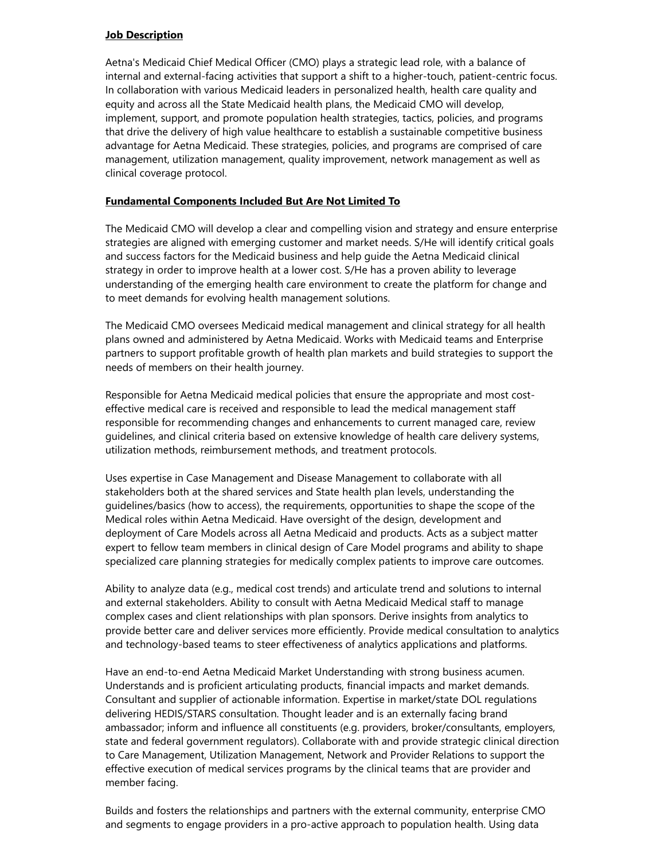#### **Job Description**

Aetna's Medicaid Chief Medical Officer (CMO) plays a strategic lead role, with a balance of internal and external-facing activities that support a shift to a higher-touch, patient-centric focus. In collaboration with various Medicaid leaders in personalized health, health care quality and equity and across all the State Medicaid health plans, the Medicaid CMO will develop, implement, support, and promote population health strategies, tactics, policies, and programs that drive the delivery of high value healthcare to establish a sustainable competitive business advantage for Aetna Medicaid. These strategies, policies, and programs are comprised of care management, utilization management, quality improvement, network management as well as clinical coverage protocol.

#### Fundamental Components Included But Are Not Limited To

The Medicaid CMO will develop a clear and compelling vision and strategy and ensure enterprise strategies are aligned with emerging customer and market needs. S/He will identify critical goals and success factors for the Medicaid business and help guide the Aetna Medicaid clinical strategy in order to improve health at a lower cost. S/He has a proven ability to leverage understanding of the emerging health care environment to create the platform for change and to meet demands for evolving health management solutions.

The Medicaid CMO oversees Medicaid medical management and clinical strategy for all health plans owned and administered by Aetna Medicaid. Works with Medicaid teams and Enterprise partners to support profitable growth of health plan markets and build strategies to support the needs of members on their health journey.

Responsible for Aetna Medicaid medical policies that ensure the appropriate and most costeffective medical care is received and responsible to lead the medical management staff responsible for recommending changes and enhancements to current managed care, review guidelines, and clinical criteria based on extensive knowledge of health care delivery systems, utilization methods, reimbursement methods, and treatment protocols.

Uses expertise in Case Management and Disease Management to collaborate with all stakeholders both at the shared services and State health plan levels, understanding the guidelines/basics (how to access), the requirements, opportunities to shape the scope of the Medical roles within Aetna Medicaid. Have oversight of the design, development and deployment of Care Models across all Aetna Medicaid and products. Acts as a subject matter expert to fellow team members in clinical design of Care Model programs and ability to shape specialized care planning strategies for medically complex patients to improve care outcomes.

Ability to analyze data (e.g., medical cost trends) and articulate trend and solutions to internal and external stakeholders. Ability to consult with Aetna Medicaid Medical staff to manage complex cases and client relationships with plan sponsors. Derive insights from analytics to provide better care and deliver services more efficiently. Provide medical consultation to analytics and technology-based teams to steer effectiveness of analytics applications and platforms.

Have an end-to-end Aetna Medicaid Market Understanding with strong business acumen. Understands and is proficient articulating products, financial impacts and market demands. Consultant and supplier of actionable information. Expertise in market/state DOL regulations delivering HEDIS/STARS consultation. Thought leader and is an externally facing brand ambassador; inform and influence all constituents (e.g. providers, broker/consultants, employers, state and federal government regulators). Collaborate with and provide strategic clinical direction to Care Management, Utilization Management, Network and Provider Relations to support the effective execution of medical services programs by the clinical teams that are provider and member facing.

Builds and fosters the relationships and partners with the external community, enterprise CMO and segments to engage providers in a pro-active approach to population health. Using data